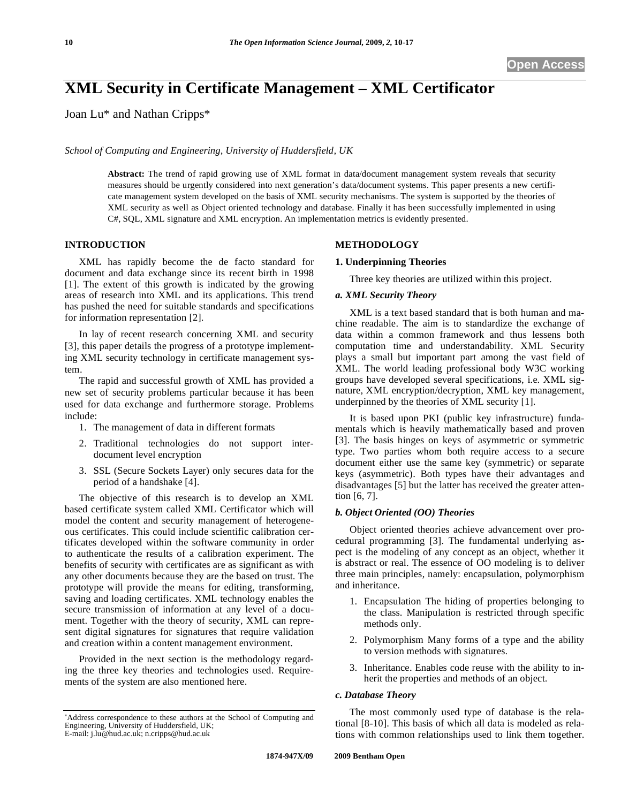# **XML Security in Certificate Management – XML Certificator**

Joan Lu\* and Nathan Cripps\*

*School of Computing and Engineering, University of Huddersfield, UK* 

**Abstract:** The trend of rapid growing use of XML format in data/document management system reveals that security measures should be urgently considered into next generation's data/document systems. This paper presents a new certificate management system developed on the basis of XML security mechanisms. The system is supported by the theories of XML security as well as Object oriented technology and database. Finally it has been successfully implemented in using C#, SQL, XML signature and XML encryption. An implementation metrics is evidently presented.

### **INTRODUCTION**

XML has rapidly become the de facto standard for document and data exchange since its recent birth in 1998 [1]. The extent of this growth is indicated by the growing areas of research into XML and its applications. This trend has pushed the need for suitable standards and specifications for information representation [2].

In lay of recent research concerning XML and security [3], this paper details the progress of a prototype implementing XML security technology in certificate management system.

The rapid and successful growth of XML has provided a new set of security problems particular because it has been used for data exchange and furthermore storage. Problems include:

- 1. The management of data in different formats
- 2. Traditional technologies do not support interdocument level encryption
- 3. SSL (Secure Sockets Layer) only secures data for the period of a handshake [4].

The objective of this research is to develop an XML based certificate system called XML Certificator which will model the content and security management of heterogeneous certificates. This could include scientific calibration certificates developed within the software community in order to authenticate the results of a calibration experiment. The benefits of security with certificates are as significant as with any other documents because they are the based on trust. The prototype will provide the means for editing, transforming, saving and loading certificates. XML technology enables the secure transmission of information at any level of a document. Together with the theory of security, XML can represent digital signatures for signatures that require validation and creation within a content management environment.

Provided in the next section is the methodology regarding the three key theories and technologies used. Requirements of the system are also mentioned here.

#### **METHODOLOGY**

#### **1. Underpinning Theories**

Three key theories are utilized within this project.

### *a. XML Security Theory*

XML is a text based standard that is both human and machine readable. The aim is to standardize the exchange of data within a common framework and thus lessens both computation time and understandability. XML Security plays a small but important part among the vast field of XML. The world leading professional body W3C working groups have developed several specifications, i.e. XML signature, XML encryption/decryption, XML key management, underpinned by the theories of XML security [1].

It is based upon PKI (public key infrastructure) fundamentals which is heavily mathematically based and proven [3]. The basis hinges on keys of asymmetric or symmetric type. Two parties whom both require access to a secure document either use the same key (symmetric) or separate keys (asymmetric). Both types have their advantages and disadvantages [5] but the latter has received the greater attention [6, 7].

# *b. Object Oriented (OO) Theories*

Object oriented theories achieve advancement over procedural programming [3]. The fundamental underlying aspect is the modeling of any concept as an object, whether it is abstract or real. The essence of OO modeling is to deliver three main principles, namely: encapsulation, polymorphism and inheritance.

- 1. Encapsulation The hiding of properties belonging to the class. Manipulation is restricted through specific methods only.
- 2. Polymorphism Many forms of a type and the ability to version methods with signatures.
- 3. Inheritance. Enables code reuse with the ability to inherit the properties and methods of an object.

#### *c. Database Theory*

The most commonly used type of database is the relational [8-10]. This basis of which all data is modeled as relations with common relationships used to link them together.

Address correspondence to these authors at the School of Computing and Engineering, University of Huddersfield, UK; E-mail: j.lu@hud.ac.uk; n.cripps@hud.ac.uk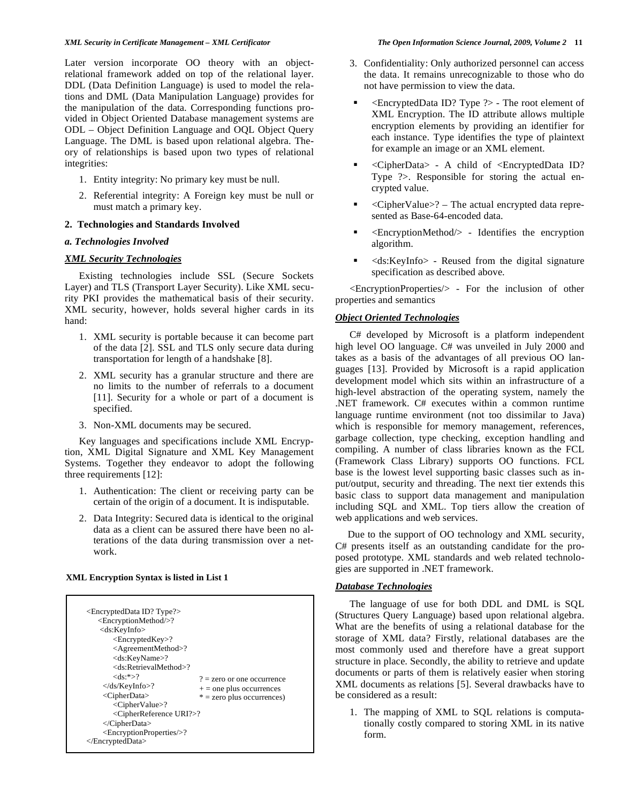Later version incorporate OO theory with an objectrelational framework added on top of the relational layer. DDL (Data Definition Language) is used to model the relations and DML (Data Manipulation Language) provides for the manipulation of the data. Corresponding functions provided in Object Oriented Database management systems are ODL – Object Definition Language and OQL Object Query Language. The DML is based upon relational algebra. Theory of relationships is based upon two types of relational integrities:

- 1. Entity integrity: No primary key must be null.
- 2. Referential integrity: A Foreign key must be null or must match a primary key.

### **2. Technologies and Standards Involved**

### *a. Technologies Involved*

# *XML Security Technologies*

Existing technologies include SSL (Secure Sockets Layer) and TLS (Transport Layer Security). Like XML security PKI provides the mathematical basis of their security. XML security, however, holds several higher cards in its hand:

- 1. XML security is portable because it can become part of the data [2]. SSL and TLS only secure data during transportation for length of a handshake [8].
- 2. XML security has a granular structure and there are no limits to the number of referrals to a document [11]. Security for a whole or part of a document is specified.
- 3. Non-XML documents may be secured.

Key languages and specifications include XML Encryption, XML Digital Signature and XML Key Management Systems. Together they endeavor to adopt the following three requirements [12]:

- 1. Authentication: The client or receiving party can be certain of the origin of a document. It is indisputable.
- 2. Data Integrity: Secured data is identical to the original data as a client can be assured there have been no alterations of the data during transmission over a network.

#### **XML Encryption Syntax is listed in List 1**

- 3. Confidentiality: Only authorized personnel can access the data. It remains unrecognizable to those who do not have permission to view the data.
- <EncryptedData ID? Type ?> The root element of XML Encryption. The ID attribute allows multiple encryption elements by providing an identifier for each instance. Type identifies the type of plaintext for example an image or an XML element.
- <CipherData> A child of <EncryptedData ID? Type ?>. Responsible for storing the actual encrypted value.
- <CipherValue>? The actual encrypted data represented as Base-64-encoded data.
- <EncryptionMethod/> Identifies the encryption algorithm.
- <ds:KeyInfo> Reused from the digital signature specification as described above.

<EncryptionProperties/> - For the inclusion of other properties and semantics

# *Object Oriented Technologies*

C# developed by Microsoft is a platform independent high level OO language. C# was unveiled in July 2000 and takes as a basis of the advantages of all previous OO languages [13]. Provided by Microsoft is a rapid application development model which sits within an infrastructure of a high-level abstraction of the operating system, namely the .NET framework. C# executes within a common runtime language runtime environment (not too dissimilar to Java) which is responsible for memory management, references, garbage collection, type checking, exception handling and compiling. A number of class libraries known as the FCL (Framework Class Library) supports OO functions. FCL base is the lowest level supporting basic classes such as input/output, security and threading. The next tier extends this basic class to support data management and manipulation including SQL and XML. Top tiers allow the creation of web applications and web services.

Due to the support of OO technology and XML security, C# presents itself as an outstanding candidate for the proposed prototype. XML standards and web related technologies are supported in .NET framework.

# *Database Technologies*

The language of use for both DDL and DML is SQL (Structures Query Language) based upon relational algebra. What are the benefits of using a relational database for the storage of XML data? Firstly, relational databases are the most commonly used and therefore have a great support structure in place. Secondly, the ability to retrieve and update documents or parts of them is relatively easier when storing XML documents as relations [5]. Several drawbacks have to be considered as a result:

1. The mapping of XML to SQL relations is computationally costly compared to storing XML in its native form.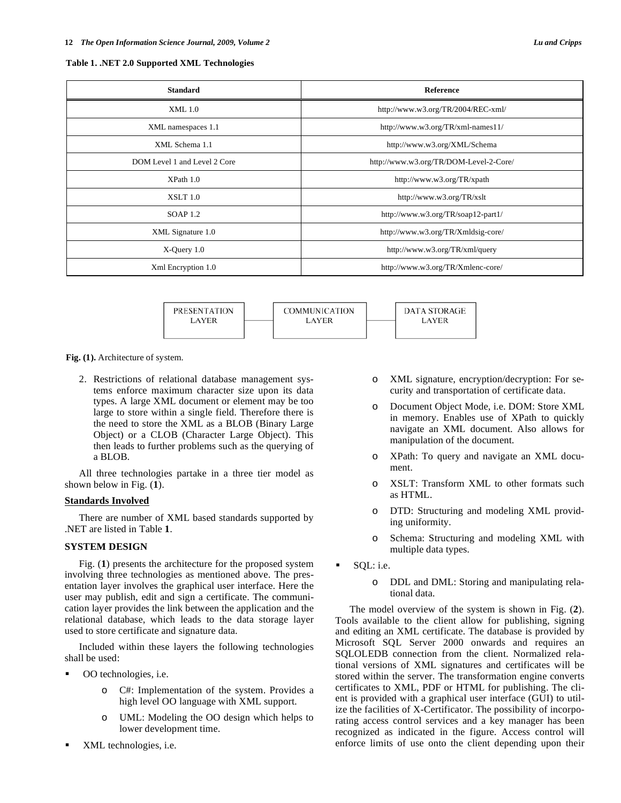| <b>Standard</b>              | <b>Reference</b>                       |  |  |
|------------------------------|----------------------------------------|--|--|
| XML 1.0                      | http://www.w3.org/TR/2004/REC-xml/     |  |  |
| XML namespaces 1.1           | http://www.w3.org/TR/xml-names11/      |  |  |
| XML Schema 1.1               | http://www.w3.org/XML/Schema           |  |  |
| DOM Level 1 and Level 2 Core | http://www.w3.org/TR/DOM-Level-2-Core/ |  |  |
| XP <sub>ath</sub> 1.0        | http://www.w3.org/TR/xpath             |  |  |
| XSLT 1.0                     | http://www.w3.org/TR/xslt              |  |  |
| SOAP $1.2$                   | http://www.w3.org/TR/soap12-part1/     |  |  |
| XML Signature 1.0            | http://www.w3.org/TR/Xmldsig-core/     |  |  |
| $X$ -Query 1.0               | http://www.w3.org/TR/xml/query         |  |  |
| Xml Encryption 1.0           | http://www.w3.org/TR/Xmlenc-core/      |  |  |

**PRESENTATION COMMUNICATION DATA STORAGE** LAYER LAYER LAYER

**Fig. (1).** Architecture of system.

2. Restrictions of relational database management systems enforce maximum character size upon its data types. A large XML document or element may be too large to store within a single field. Therefore there is the need to store the XML as a BLOB (Binary Large Object) or a CLOB (Character Large Object). This then leads to further problems such as the querying of a BLOB.

All three technologies partake in a three tier model as shown below in Fig. (**1**).

#### **Standards Involved**

There are number of XML based standards supported by .NET are listed in Table **1**.

# **SYSTEM DESIGN**

Fig. (**1**) presents the architecture for the proposed system involving three technologies as mentioned above. The presentation layer involves the graphical user interface. Here the user may publish, edit and sign a certificate. The communication layer provides the link between the application and the relational database, which leads to the data storage layer used to store certificate and signature data.

Included within these layers the following technologies shall be used:

- OO technologies, i.e.
	- o C#: Implementation of the system. Provides a high level OO language with XML support.
	- o UML: Modeling the OO design which helps to lower development time.
- XML technologies, i.e.
- XML signature, encryption/decryption: For security and transportation of certificate data.
- o Document Object Mode, i.e. DOM: Store XML in memory. Enables use of XPath to quickly navigate an XML document. Also allows for manipulation of the document.
- o XPath: To query and navigate an XML document.
- o XSLT: Transform XML to other formats such as HTML.
- o DTD: Structuring and modeling XML providing uniformity.
- o Schema: Structuring and modeling XML with multiple data types.
- SQL: i.e.
	- o DDL and DML: Storing and manipulating relational data.

The model overview of the system is shown in Fig. (**2**). Tools available to the client allow for publishing, signing and editing an XML certificate. The database is provided by Microsoft SQL Server 2000 onwards and requires an SQLOLEDB connection from the client. Normalized relational versions of XML signatures and certificates will be stored within the server. The transformation engine converts certificates to XML, PDF or HTML for publishing. The client is provided with a graphical user interface (GUI) to utilize the facilities of X-Certificator. The possibility of incorporating access control services and a key manager has been recognized as indicated in the figure. Access control will enforce limits of use onto the client depending upon their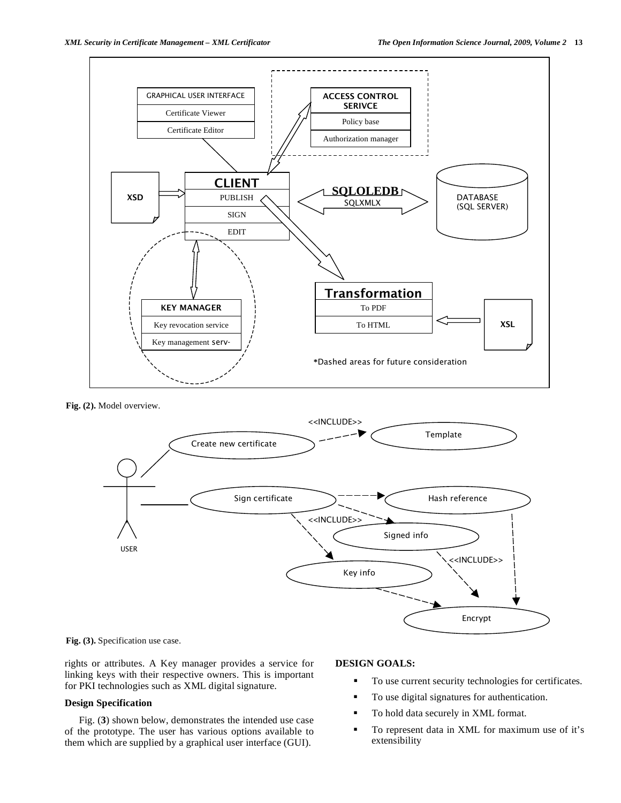

**Fig. (2).** Model overview.



**Fig. (3).** Specification use case.

rights or attributes. A Key manager provides a service for linking keys with their respective owners. This is important for PKI technologies such as XML digital signature.

#### **Design Specification**

Fig. (**3**) shown below, demonstrates the intended use case of the prototype. The user has various options available to them which are supplied by a graphical user interface (GUI).

# **DESIGN GOALS:**

- To use current security technologies for certificates.
- To use digital signatures for authentication.
- To hold data securely in XML format.
- To represent data in XML for maximum use of it's extensibility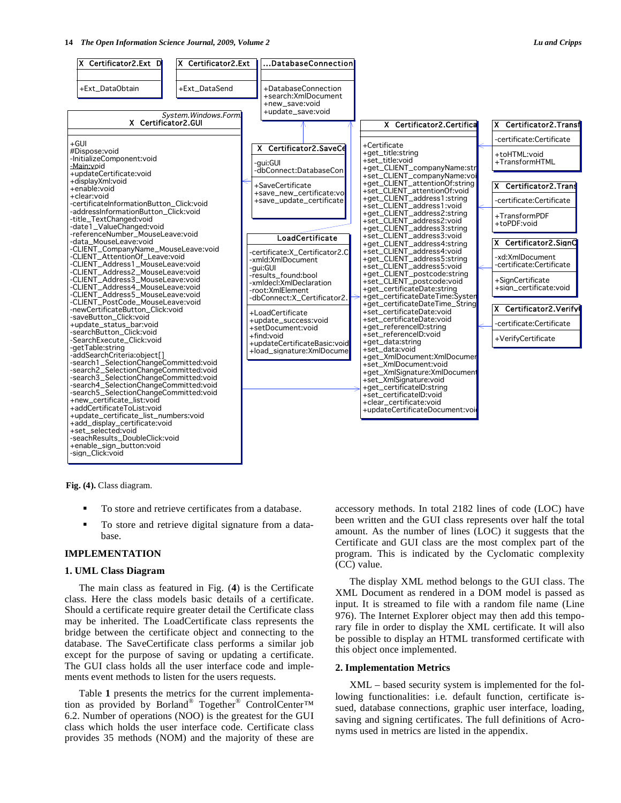

**Fig. (4).** Class diagram.

- To store and retrieve certificates from a database.
- To store and retrieve digital signature from a database.

#### **IMPLEMENTATION**

#### **1. UML Class Diagram**

The main class as featured in Fig. (**4**) is the Certificate class. Here the class models basic details of a certificate. Should a certificate require greater detail the Certificate class may be inherited. The LoadCertificate class represents the bridge between the certificate object and connecting to the database. The SaveCertificate class performs a similar job except for the purpose of saving or updating a certificate. The GUI class holds all the user interface code and implements event methods to listen for the users requests.

Table **1** presents the metrics for the current implementation as provided by Borland® Together® ControlCenter™ 6.2. Number of operations (NOO) is the greatest for the GUI class which holds the user interface code. Certificate class provides 35 methods (NOM) and the majority of these are accessory methods. In total 2182 lines of code (LOC) have been written and the GUI class represents over half the total amount. As the number of lines (LOC) it suggests that the Certificate and GUI class are the most complex part of the program. This is indicated by the Cyclomatic complexity (CC) value.

The display XML method belongs to the GUI class. The XML Document as rendered in a DOM model is passed as input. It is streamed to file with a random file name (Line 976). The Internet Explorer object may then add this temporary file in order to display the XML certificate. It will also be possible to display an HTML transformed certificate with this object once implemented.

# **2. Implementation Metrics**

XML – based security system is implemented for the following functionalities: i.e. default function, certificate issued, database connections, graphic user interface, loading, saving and signing certificates. The full definitions of Acronyms used in metrics are listed in the appendix.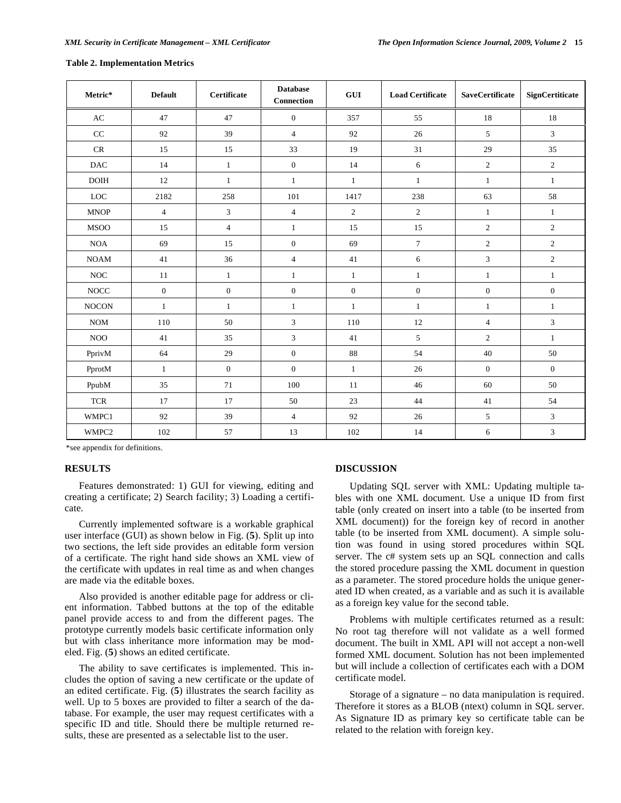| Metric*                          | <b>Default</b>   | Certificate    | <b>Database</b><br><b>Connection</b> | <b>GUI</b>       | <b>Load Certificate</b> | <b>SaveCertificate</b> | SignCertiticate  |
|----------------------------------|------------------|----------------|--------------------------------------|------------------|-------------------------|------------------------|------------------|
| $\mathbf{A}\mathbf{C}$           | 47               | 47             | $\mathbf{0}$                         | 357              | 55                      | 18                     | 18               |
| CC                               | 92               | 39             | $\overline{4}$                       | 92               | 26                      | 5                      | $\overline{3}$   |
| $\mathsf{CR}$                    | 15               | 15             | 33                                   | 19               | 31                      | 29                     | 35               |
| $\mathbf{D}\mathbf{A}\mathbf{C}$ | 14               | $\mathbf{1}$   | $\boldsymbol{0}$                     | 14               | 6                       | $\boldsymbol{2}$       | $\boldsymbol{2}$ |
| <b>DOIH</b>                      | 12               | $\mathbf{1}$   | $\mathbf{1}$                         | $\mathbf{1}$     | $\mathbf{1}$            | $\mathbf{1}$           | $\mathbf{1}$     |
| LOC                              | 2182             | 258            | 101                                  | 1417             | 238                     | 63                     | 58               |
| <b>MNOP</b>                      | $\overline{4}$   | $\mathfrak{Z}$ | $\overline{4}$                       | $\overline{2}$   | $\overline{2}$          | $\mathbf{1}$           | $\mathbf{1}$     |
| <b>MSOO</b>                      | 15               | $\overline{4}$ | $\mathbf{1}$                         | 15               | 15                      | $\boldsymbol{2}$       | $\overline{c}$   |
| <b>NOA</b>                       | 69               | 15             | $\boldsymbol{0}$                     | 69               | $\overline{7}$          | $\overline{c}$         | $\boldsymbol{2}$ |
| <b>NOAM</b>                      | 41               | 36             | $\overline{4}$                       | 41               | 6                       | $\mathfrak{Z}$         | $\overline{c}$   |
| $\rm NOC$                        | 11               | $\mathbf{1}$   | $\mathbf{1}$                         | $\mathbf{1}$     | $\mathbf{1}$            | $\mathbf{1}$           | $\mathbf{1}$     |
| $\rm NOCC$                       | $\boldsymbol{0}$ | $\mathbf{0}$   | $\boldsymbol{0}$                     | $\boldsymbol{0}$ | $\boldsymbol{0}$        | $\boldsymbol{0}$       | $\boldsymbol{0}$ |
| <b>NOCON</b>                     | $\mathbf{1}$     | $\mathbf{1}$   | $\mathbf{1}$                         | $\mathbf{1}$     | $\mathbf{1}$            | $\mathbf{1}$           | $\mathbf{1}$     |
| <b>NOM</b>                       | 110              | 50             | $\overline{3}$                       | 110              | $12\,$                  | $\overline{4}$         | $\mathfrak{Z}$   |
| $\rm NOO$                        | 41               | 35             | $\overline{3}$                       | 41               | 5                       | $\overline{c}$         | $\mathbf{1}$     |
| PprivM                           | 64               | 29             | $\mathbf{0}$                         | $88\,$           | 54                      | 40                     | 50               |
| PprotM                           | $\mathbf{1}$     | $\mathbf{0}$   | $\mathbf{0}$                         | $\mathbf{1}$     | 26                      | $\mathbf{0}$           | $\mathbf{0}$     |
| PpubM                            | 35               | 71             | 100                                  | 11               | 46                      | 60                     | 50               |
| <b>TCR</b>                       | 17               | 17             | $50\,$                               | 23               | 44                      | 41                     | 54               |
| WMPC1                            | 92               | 39             | $\overline{4}$                       | 92               | 26                      | 5                      | 3                |
| WMPC2                            | 102              | 57             | 13                                   | 102              | 14                      | 6                      | 3                |

#### **Table 2. Implementation Metrics**

\*see appendix for definitions.

#### **RESULTS**

Features demonstrated: 1) GUI for viewing, editing and creating a certificate; 2) Search facility; 3) Loading a certificate.

Currently implemented software is a workable graphical user interface (GUI) as shown below in Fig. (**5**). Split up into two sections, the left side provides an editable form version of a certificate. The right hand side shows an XML view of the certificate with updates in real time as and when changes are made via the editable boxes.

Also provided is another editable page for address or client information. Tabbed buttons at the top of the editable panel provide access to and from the different pages. The prototype currently models basic certificate information only but with class inheritance more information may be modeled. Fig. (**5**) shows an edited certificate.

The ability to save certificates is implemented. This includes the option of saving a new certificate or the update of an edited certificate. Fig. (**5**) illustrates the search facility as well. Up to 5 boxes are provided to filter a search of the database. For example, the user may request certificates with a specific ID and title. Should there be multiple returned results, these are presented as a selectable list to the user.

### **DISCUSSION**

Updating SQL server with XML: Updating multiple tables with one XML document. Use a unique ID from first table (only created on insert into a table (to be inserted from XML document)) for the foreign key of record in another table (to be inserted from XML document). A simple solution was found in using stored procedures within SQL server. The c# system sets up an SQL connection and calls the stored procedure passing the XML document in question as a parameter. The stored procedure holds the unique generated ID when created, as a variable and as such it is available as a foreign key value for the second table.

Problems with multiple certificates returned as a result: No root tag therefore will not validate as a well formed document. The built in XML API will not accept a non-well formed XML document. Solution has not been implemented but will include a collection of certificates each with a DOM certificate model.

Storage of a signature – no data manipulation is required. Therefore it stores as a BLOB (ntext) column in SQL server. As Signature ID as primary key so certificate table can be related to the relation with foreign key.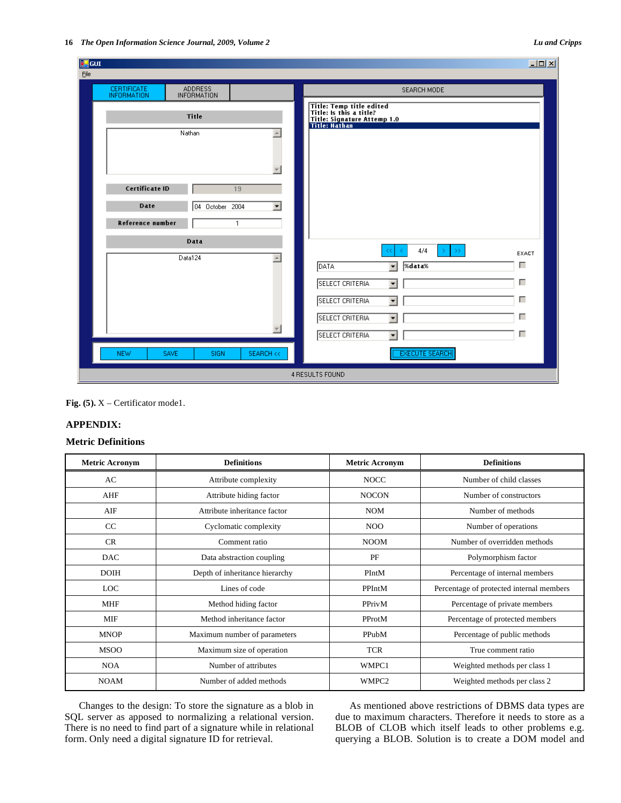| <b>Eg</b> GUI                                                      | $\Box$                                                                                              |  |  |  |  |  |
|--------------------------------------------------------------------|-----------------------------------------------------------------------------------------------------|--|--|--|--|--|
| Eile                                                               |                                                                                                     |  |  |  |  |  |
| CERTIFICATE<br><b>ADDRESS</b><br>INFORMATION<br><b>INFORMATION</b> | SEARCH MODE                                                                                         |  |  |  |  |  |
| Title                                                              | Title: Temp title edited<br>Title: Is this a title?<br>Title: Signature Attemp 1.0<br>Title: Nathan |  |  |  |  |  |
| Nathan<br>$\triangle$<br>$\overline{\phantom{a}}$                  |                                                                                                     |  |  |  |  |  |
| Certificate ID<br>19                                               |                                                                                                     |  |  |  |  |  |
| Date<br>04 October 2004<br>$\blacktriangledown$                    |                                                                                                     |  |  |  |  |  |
| Reference number<br>$\mathbf{1}$                                   |                                                                                                     |  |  |  |  |  |
| Data                                                               | 4/4<br>$\rightarrow$<br>Y.                                                                          |  |  |  |  |  |
| Data124<br>$\blacktriangle$                                        | EXACT<br>г<br>%data%<br>DATA<br>$\blacktriangledown$                                                |  |  |  |  |  |
|                                                                    | г<br>SELECT CRITERIA<br>$\blacktriangledown$                                                        |  |  |  |  |  |
|                                                                    | г<br><b>SELECT CRITERIA</b><br>$\blacktriangledown$                                                 |  |  |  |  |  |
|                                                                    | г<br><b>SELECT CRITERIA</b><br>$\blacktriangledown$                                                 |  |  |  |  |  |
|                                                                    | г<br><b>SELECT CRITERIA</b><br>٠                                                                    |  |  |  |  |  |
| <b>NEW</b><br><b>SEARCH &lt;&lt;</b><br><b>SAVE</b><br><b>SIGN</b> | <b>EXECUTE SEARCH</b>                                                                               |  |  |  |  |  |
| 4 RESULTS FOUND                                                    |                                                                                                     |  |  |  |  |  |

**Fig. (5).**  $X$  – Certificator model.

# **APPENDIX:**

# **Metric Definitions**

| <b>Metric Acronym</b> | <b>Definitions</b>             | <b>Metric Acronym</b> | <b>Definitions</b>                       |
|-----------------------|--------------------------------|-----------------------|------------------------------------------|
| AC                    | Attribute complexity           | <b>NOCC</b>           | Number of child classes                  |
| AHF                   | Attribute hiding factor        | <b>NOCON</b>          | Number of constructors                   |
| AIF                   | Attribute inheritance factor   | <b>NOM</b>            | Number of methods                        |
| CC                    | Cyclomatic complexity          | N <sub>O</sub> O      | Number of operations                     |
| CR                    | Comment ratio                  | <b>NOOM</b>           | Number of overridden methods             |
| <b>DAC</b>            | Data abstraction coupling      | PF                    | Polymorphism factor                      |
| <b>DOIH</b>           | Depth of inheritance hierarchy | PIntM                 | Percentage of internal members           |
| <b>LOC</b>            | Lines of code                  | PPIntM                | Percentage of protected internal members |
| <b>MHF</b>            | Method hiding factor           | PPrivM                | Percentage of private members            |
| MIF                   | Method inheritance factor      | PProtM                | Percentage of protected members          |
| <b>MNOP</b>           | Maximum number of parameters   | PPubM                 | Percentage of public methods             |
| <b>MSOO</b>           | Maximum size of operation      | <b>TCR</b>            | True comment ratio                       |
| <b>NOA</b>            | Number of attributes           | WMPC1                 | Weighted methods per class 1             |
| <b>NOAM</b>           | Number of added methods        | WMPC <sub>2</sub>     | Weighted methods per class 2             |

Changes to the design: To store the signature as a blob in SQL server as apposed to normalizing a relational version. There is no need to find part of a signature while in relational form. Only need a digital signature ID for retrieval.

As mentioned above restrictions of DBMS data types are due to maximum characters. Therefore it needs to store as a BLOB of CLOB which itself leads to other problems e.g. querying a BLOB. Solution is to create a DOM model and